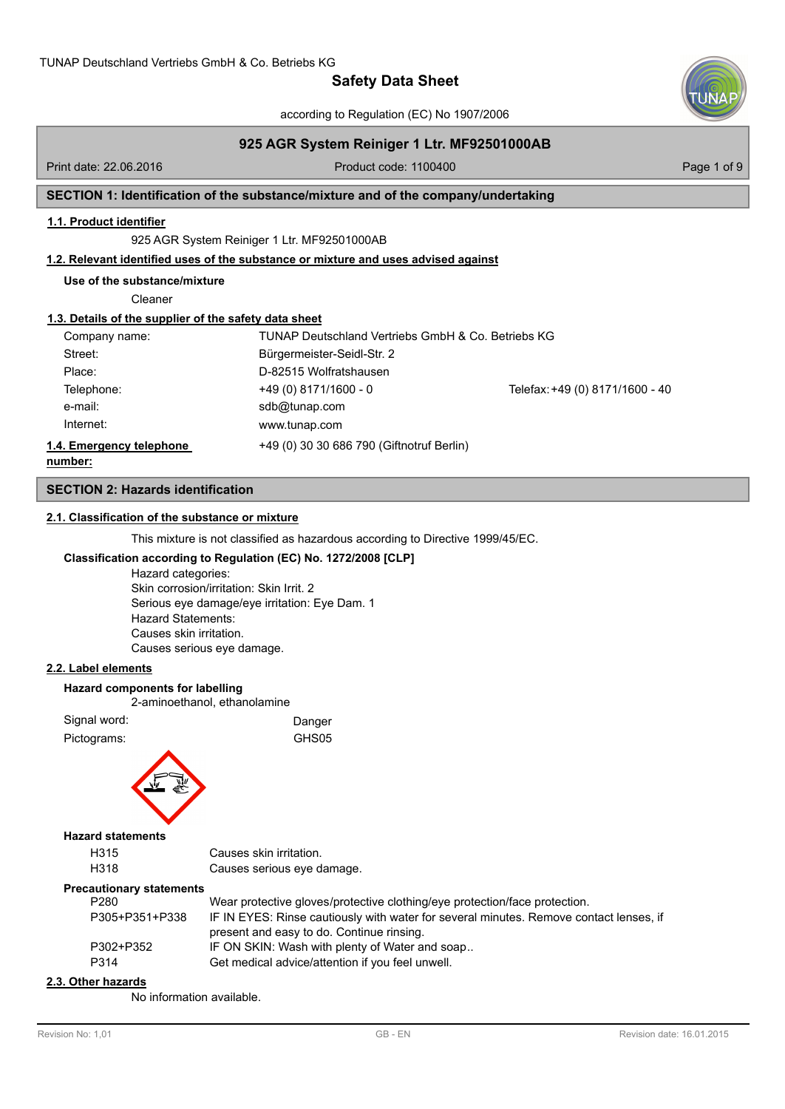according to Regulation (EC) No 1907/2006



# **925 AGR System Reiniger 1 Ltr. MF92501000AB**

Print date: 22.06.2016 **Product code: 1100400** Product code: 1100400 Page 1 of 9

# **SECTION 1: Identification of the substance/mixture and of the company/undertaking**

#### **1.1. Product identifier**

925 AGR System Reiniger 1 Ltr. MF92501000AB

# **1.2. Relevant identified uses of the substance or mixture and uses advised against**

**Use of the substance/mixture**

Cleaner

# **1.3. Details of the supplier of the safety data sheet**

| Company name:                       | TUNAP Deutschland Vertriebs GmbH & Co. Betriebs KG |                                 |
|-------------------------------------|----------------------------------------------------|---------------------------------|
| Street:                             | Bürgermeister-Seidl-Str. 2                         |                                 |
| Place:                              | D-82515 Wolfratshausen                             |                                 |
| Telephone:                          | $+49(0)$ 8171/1600 - 0                             | Telefax: +49 (0) 8171/1600 - 40 |
| e-mail:                             | sdb@tunap.com                                      |                                 |
| Internet:                           | www.tunap.com                                      |                                 |
| 1.4. Emergency telephone<br>number: | +49 (0) 30 30 686 790 (Giftnotruf Berlin)          |                                 |

# **SECTION 2: Hazards identification**

### **2.1. Classification of the substance or mixture**

This mixture is not classified as hazardous according to Directive 1999/45/EC.

# **Classification according to Regulation (EC) No. 1272/2008 [CLP]**

Hazard categories: Skin corrosion/irritation: Skin Irrit. 2 Serious eye damage/eye irritation: Eye Dam. 1 Hazard Statements: Causes skin irritation. Causes serious eye damage.

# **2.2. Label elements**

**Hazard components for labelling**

2-aminoethanol, ethanolamine

| Signal word: | Danger |
|--------------|--------|
| Pictograms:  | GHS05  |



### **Hazard statements**

| H315 | Causes skin irritation.    |
|------|----------------------------|
| H318 | Causes serious eye damage. |

#### **Precautionary statements**

| P280           | Wear protective gloves/protective clothing/eye protection/face protection.             |
|----------------|----------------------------------------------------------------------------------------|
| P305+P351+P338 | IF IN EYES: Rinse cautiously with water for several minutes. Remove contact lenses, if |
|                | present and easy to do. Continue rinsing.                                              |
| P302+P352      | IF ON SKIN: Wash with plenty of Water and soap                                         |
| P314           | Get medical advice/attention if you feel unwell.                                       |

#### **2.3. Other hazards**

No information available.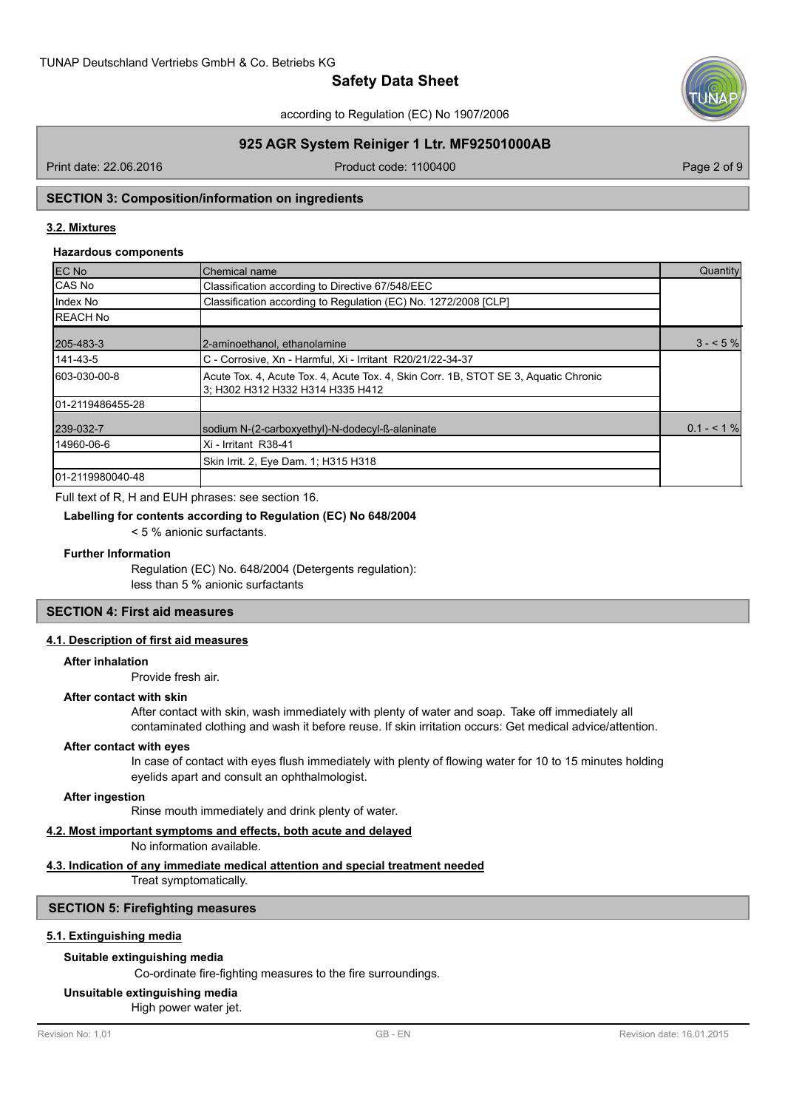

according to Regulation (EC) No 1907/2006

# **925 AGR System Reiniger 1 Ltr. MF92501000AB**

Print date: 22.06.2016 **Product code: 1100400** Product code: 1100400

# **SECTION 3: Composition/information on ingredients**

# **3.2. Mixtures**

### **Hazardous components**

| <b>EC No</b>      | lChemical name                                                                                                          | Quantity      |
|-------------------|-------------------------------------------------------------------------------------------------------------------------|---------------|
| CAS No            | Classification according to Directive 67/548/EEC                                                                        |               |
| Index No          | Classification according to Regulation (EC) No. 1272/2008 [CLP]                                                         |               |
| <b>REACH No</b>   |                                                                                                                         |               |
| 205-483-3         | 2-aminoethanol, ethanolamine                                                                                            | $3 - 5\%$     |
| 141-43-5          | C - Corrosive, Xn - Harmful, Xi - Irritant R20/21/22-34-37                                                              |               |
| 603-030-00-8      | Acute Tox. 4, Acute Tox. 4, Acute Tox. 4, Skin Corr. 1B, STOT SE 3, Aquatic Chronic<br>3: H302 H312 H332 H314 H335 H412 |               |
| 101-2119486455-28 |                                                                                                                         |               |
| 239-032-7         | sodium N-(2-carboxyethyl)-N-dodecyl-ß-alaninate                                                                         | $0.1 - 5.1\%$ |
| 14960-06-6        | Xi - Irritant R38-41                                                                                                    |               |
|                   | Skin Irrit. 2, Eve Dam. 1; H315 H318                                                                                    |               |
| 101-2119980040-48 |                                                                                                                         |               |

#### Full text of R, H and EUH phrases: see section 16.

#### **Labelling for contents according to Regulation (EC) No 648/2004**

< 5 % anionic surfactants.

#### **Further Information**

Regulation (EC) No. 648/2004 (Detergents regulation): less than 5 % anionic surfactants

# **SECTION 4: First aid measures**

# **4.1. Description of first aid measures**

#### **After inhalation**

Provide fresh air.

#### **After contact with skin**

After contact with skin, wash immediately with plenty of water and soap. Take off immediately all contaminated clothing and wash it before reuse. If skin irritation occurs: Get medical advice/attention.

#### **After contact with eyes**

In case of contact with eyes flush immediately with plenty of flowing water for 10 to 15 minutes holding eyelids apart and consult an ophthalmologist.

#### **After ingestion**

Rinse mouth immediately and drink plenty of water.

## **4.2. Most important symptoms and effects, both acute and delayed**

No information available.

# **4.3. Indication of any immediate medical attention and special treatment needed**

Treat symptomatically.

### **SECTION 5: Firefighting measures**

#### **5.1. Extinguishing media**

### **Suitable extinguishing media**

Co-ordinate fire-fighting measures to the fire surroundings.

# **Unsuitable extinguishing media**

High power water jet.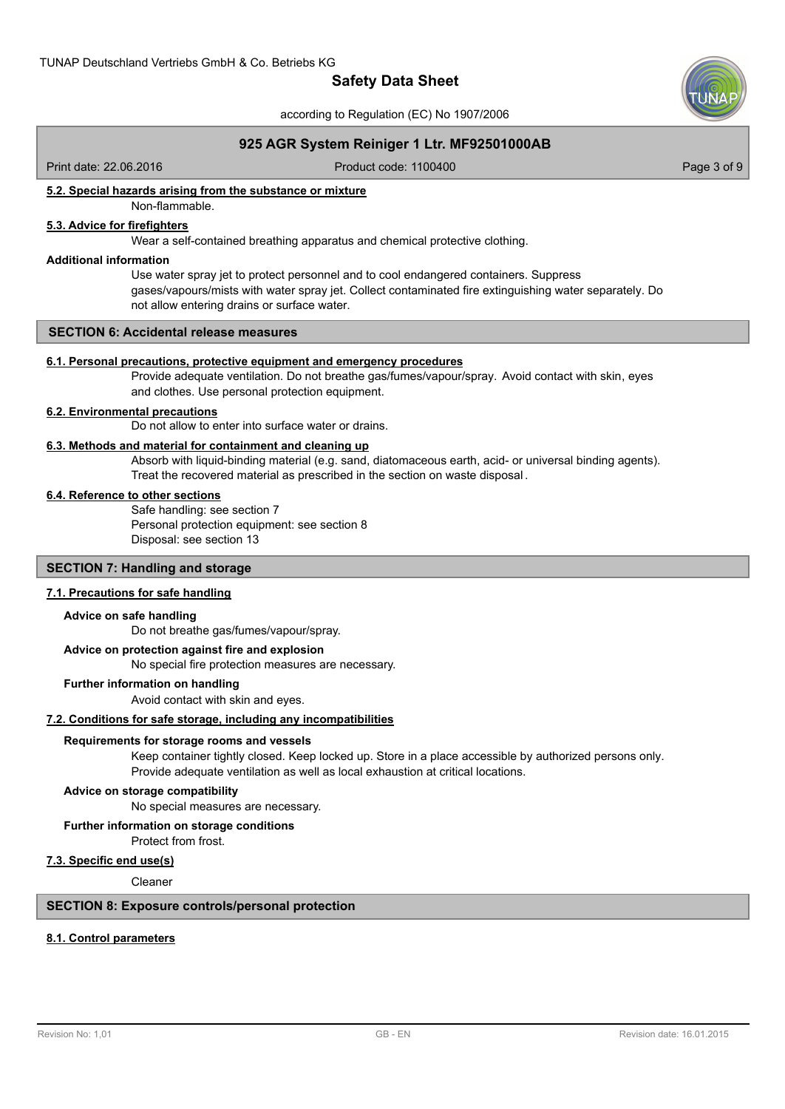according to Regulation (EC) No 1907/2006



# **925 AGR System Reiniger 1 Ltr. MF92501000AB**

Print date: 22.06.2016 **Product code: 1100400** Product code: 1100400

# **5.2. Special hazards arising from the substance or mixture**

Non-flammable.

# **5.3. Advice for firefighters**

Wear a self-contained breathing apparatus and chemical protective clothing.

### **Additional information**

Use water spray jet to protect personnel and to cool endangered containers. Suppress gases/vapours/mists with water spray jet. Collect contaminated fire extinguishing water separately. Do not allow entering drains or surface water.

# **SECTION 6: Accidental release measures**

#### **6.1. Personal precautions, protective equipment and emergency procedures**

Provide adequate ventilation. Do not breathe gas/fumes/vapour/spray. Avoid contact with skin, eyes and clothes. Use personal protection equipment.

#### **6.2. Environmental precautions**

Do not allow to enter into surface water or drains.

## **6.3. Methods and material for containment and cleaning up**

Absorb with liquid-binding material (e.g. sand, diatomaceous earth, acid- or universal binding agents). Treat the recovered material as prescribed in the section on waste disposal .

### **6.4. Reference to other sections**

Safe handling: see section 7 Personal protection equipment: see section 8 Disposal: see section 13

# **SECTION 7: Handling and storage**

### **7.1. Precautions for safe handling**

#### **Advice on safe handling**

Do not breathe gas/fumes/vapour/spray.

#### **Advice on protection against fire and explosion**

No special fire protection measures are necessary.

#### **Further information on handling**

Avoid contact with skin and eyes.

#### **7.2. Conditions for safe storage, including any incompatibilities**

#### **Requirements for storage rooms and vessels**

Keep container tightly closed. Keep locked up. Store in a place accessible by authorized persons only. Provide adequate ventilation as well as local exhaustion at critical locations.

#### **Advice on storage compatibility**

No special measures are necessary.

#### **Further information on storage conditions**

Protect from frost.

#### **7.3. Specific end use(s)**

Cleaner

# **SECTION 8: Exposure controls/personal protection**

#### **8.1. Control parameters**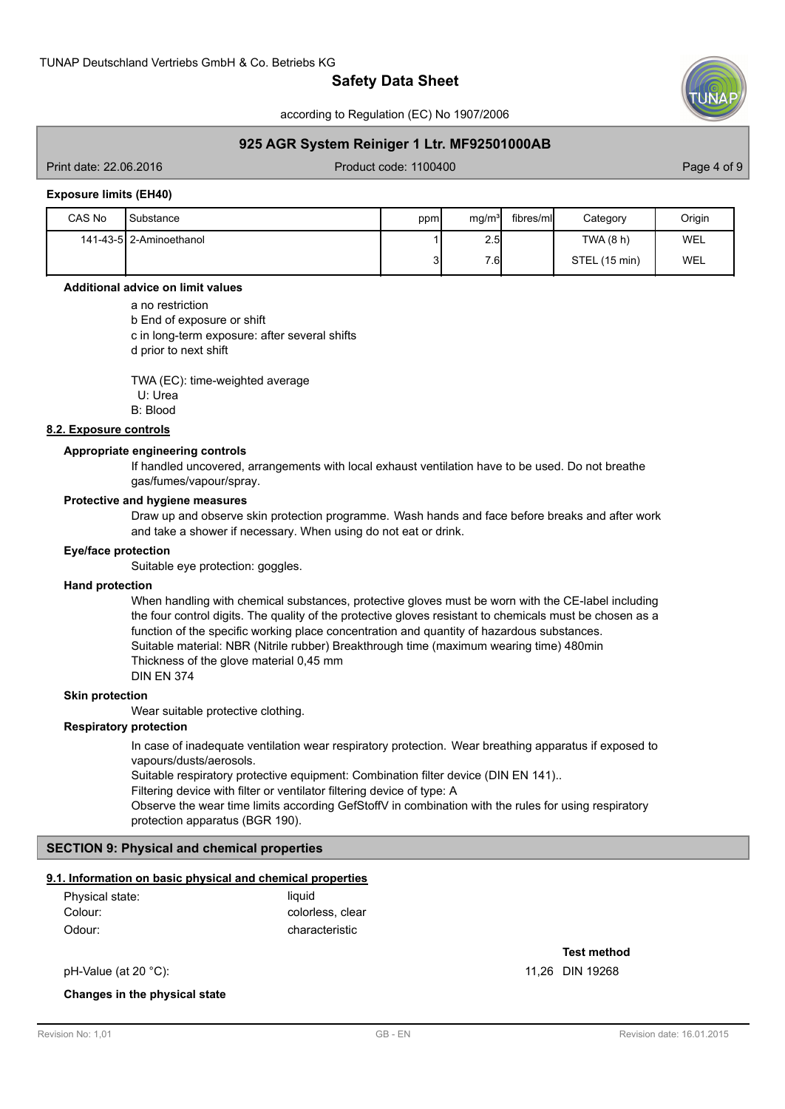according to Regulation (EC) No 1907/2006

# **925 AGR System Reiniger 1 Ltr. MF92501000AB**

Print date: 22.06.2016 **Product code: 1100400** Product code: 1100400

#### **Exposure limits (EH40)**

| CAS No | Substance               | ppm | mq/m <sup>3</sup> | fibres/ml | Category      | Origin |
|--------|-------------------------|-----|-------------------|-----------|---------------|--------|
|        | 141-43-5 2-Aminoethanol |     | 2.5               |           | TWA (8 h)     | WEL    |
|        |                         | J۱  | 76                |           | STEL (15 min) | WEL    |

#### **Additional advice on limit values**

a no restriction

b End of exposure or shift c in long-term exposure: after several shifts d prior to next shift

TWA (EC): time-weighted average U: Urea B: Blood

### **8.2. Exposure controls**

### **Appropriate engineering controls**

If handled uncovered, arrangements with local exhaust ventilation have to be used. Do not breathe gas/fumes/vapour/spray.

#### **Protective and hygiene measures**

Draw up and observe skin protection programme. Wash hands and face before breaks and after work and take a shower if necessary. When using do not eat or drink.

#### **Eye/face protection**

Suitable eye protection: goggles.

#### **Hand protection**

When handling with chemical substances, protective gloves must be worn with the CE-label including the four control digits. The quality of the protective gloves resistant to chemicals must be chosen as a function of the specific working place concentration and quantity of hazardous substances. Suitable material: NBR (Nitrile rubber) Breakthrough time (maximum wearing time) 480min Thickness of the glove material 0,45 mm DIN EN 374

#### **Skin protection**

Wear suitable protective clothing.

# **Respiratory protection**

In case of inadequate ventilation wear respiratory protection. Wear breathing apparatus if exposed to vapours/dusts/aerosols. Suitable respiratory protective equipment: Combination filter device (DIN EN 141).. Filtering device with filter or ventilator filtering device of type: A Observe the wear time limits according GefStoffV in combination with the rules for using respiratory protection apparatus (BGR 190).

### **SECTION 9: Physical and chemical properties**

#### **9.1. Information on basic physical and chemical properties**

| Physical state: | liauid           |
|-----------------|------------------|
| Colour:         | colorless, clear |
| Odour:          | characteristic   |

pH-Value (at 20 °C): 11,26 DIN 19268

#### **Changes in the physical state**

**Test method**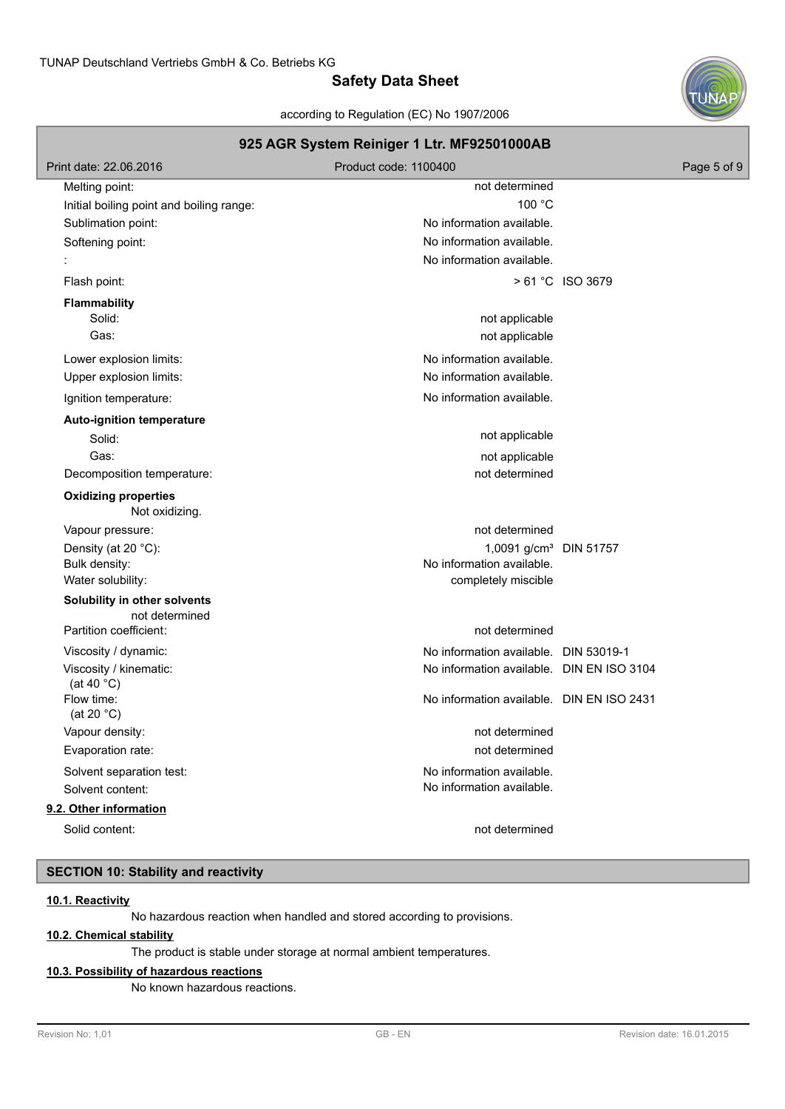according to Regulation (EC) No 1907/2006



# **925 AGR System Reiniger 1 Ltr. MF92501000AB** Print date: 22.06.2016 **Product code: 1100400** Product code: 1100400 Melting point: not determined Initial boiling point and boiling range: 100 °C Sublimation point: Sublimation point: No information available. Softening point: Softening point: No information available. No information available. Flash point:  $> 61 °C$  ISO 3679 **Flammability** Solid: **not applicable** solid: **not applicable** solid: **not applicable** solid: **not applicable** solid: Gas: contract the contract of the contract of the contract of the contract of the contract of the contract of the contract of the contract of the contract of the contract of the contract of the contract of the contract of Lower explosion limits:  $\blacksquare$ Upper explosion limits:  $\blacksquare$ Ignition temperature:  $\blacksquare$ **Auto-ignition temperature** Solid: not applicable that the solid: Gas: contract the contract of the contract of the contract of the contract of the contract of the contract of the contract of the contract of the contract of the contract of the contract of the contract of the contract of Decomposition temperature: not of the matrix of the matrix of the matrix of the matrix of the matrix of the matrix of the matrix of the matrix of the matrix of the matrix of the matrix of the matrix of the matrix of the ma Not oxidizing. **Oxidizing properties** Vapour pressure: not determined Density (at 20 °C): 1,0091 g/cm³ DIN 51757 Bulk density: No information available. Water solubility:  $\blacksquare$ **Solubility in other solvents** not determined Partition coefficient: not determined Viscosity / dynamic: No information available. DIN 53019-1 Viscosity / kinematic: (at 40 °C) No information available. DIN EN ISO 3104 Flow time: (at 20 °C) No information available. DIN EN ISO 2431 Vapour density: not determined Evaporation rate: not determined Solvent separation test:  $\blacksquare$ Solvent content: No information available. **9.2. Other information** Solid content: not determined

# **SECTION 10: Stability and reactivity**

#### **10.1. Reactivity**

No hazardous reaction when handled and stored according to provisions.

### **10.2. Chemical stability**

The product is stable under storage at normal ambient temperatures.

#### **10.3. Possibility of hazardous reactions**

No known hazardous reactions.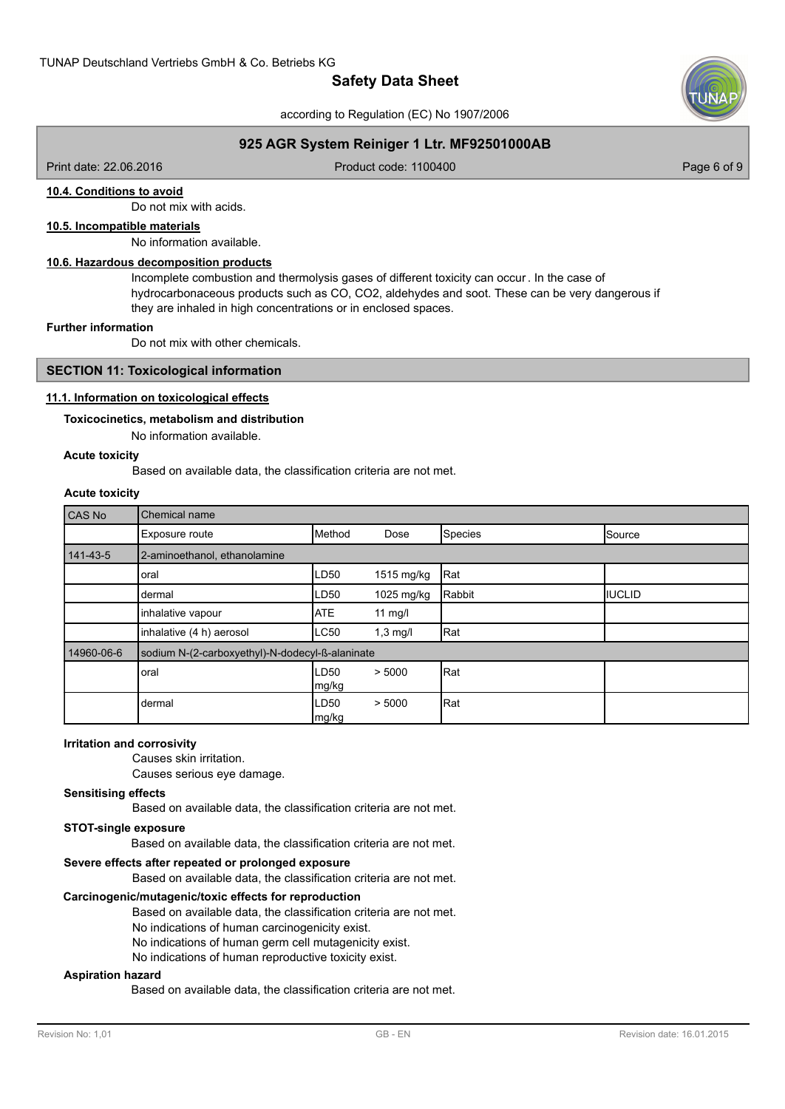according to Regulation (EC) No 1907/2006

# **925 AGR System Reiniger 1 Ltr. MF92501000AB**

Print date: 22.06.2016 **Product code: 1100400** Product code: 1100400

# **10.4. Conditions to avoid**

Do not mix with acids.

# **10.5. Incompatible materials**

No information available.

# **10.6. Hazardous decomposition products**

Incomplete combustion and thermolysis gases of different toxicity can occur. In the case of hydrocarbonaceous products such as CO, CO2, aldehydes and soot. These can be very dangerous if they are inhaled in high concentrations or in enclosed spaces.

#### **Further information**

Do not mix with other chemicals.

### **SECTION 11: Toxicological information**

### **11.1. Information on toxicological effects**

# **Toxicocinetics, metabolism and distribution**

No information available.

# **Acute toxicity**

Based on available data, the classification criteria are not met.

# **Acute toxicity**

| CAS No     | Chemical name                                   |               |            |         |                 |  |  |
|------------|-------------------------------------------------|---------------|------------|---------|-----------------|--|--|
|            | Exposure route                                  | Method        | Dose       | Species | <b>I</b> Source |  |  |
| 141-43-5   | 2-aminoethanol, ethanolamine                    |               |            |         |                 |  |  |
|            | oral                                            | LD50          | 1515 mg/kg | Rat     |                 |  |  |
|            | Idermal                                         | LD50          | 1025 mg/kg | Rabbit  | <b>IIUCLID</b>  |  |  |
|            | inhalative vapour                               | <b>ATE</b>    | 11 $mg/l$  |         |                 |  |  |
|            | inhalative (4 h) aerosol                        | <b>LC50</b>   | $1,3$ mg/l | Rat     |                 |  |  |
| 14960-06-6 | sodium N-(2-carboxyethyl)-N-dodecyl-ß-alaninate |               |            |         |                 |  |  |
|            | oral                                            | LD50<br>mg/kg | > 5000     | Rat     |                 |  |  |
|            | dermal                                          | LD50<br>mg/kg | > 5000     | Rat     |                 |  |  |

#### **Irritation and corrosivity**

Causes skin irritation.

Causes serious eye damage.

# **Sensitising effects**

Based on available data, the classification criteria are not met.

### **STOT-single exposure**

Based on available data, the classification criteria are not met.

# **Severe effects after repeated or prolonged exposure**

Based on available data, the classification criteria are not met.

### **Carcinogenic/mutagenic/toxic effects for reproduction**

Based on available data, the classification criteria are not met.

No indications of human carcinogenicity exist.

- No indications of human germ cell mutagenicity exist.
- No indications of human reproductive toxicity exist.

#### **Aspiration hazard**

Based on available data, the classification criteria are not met.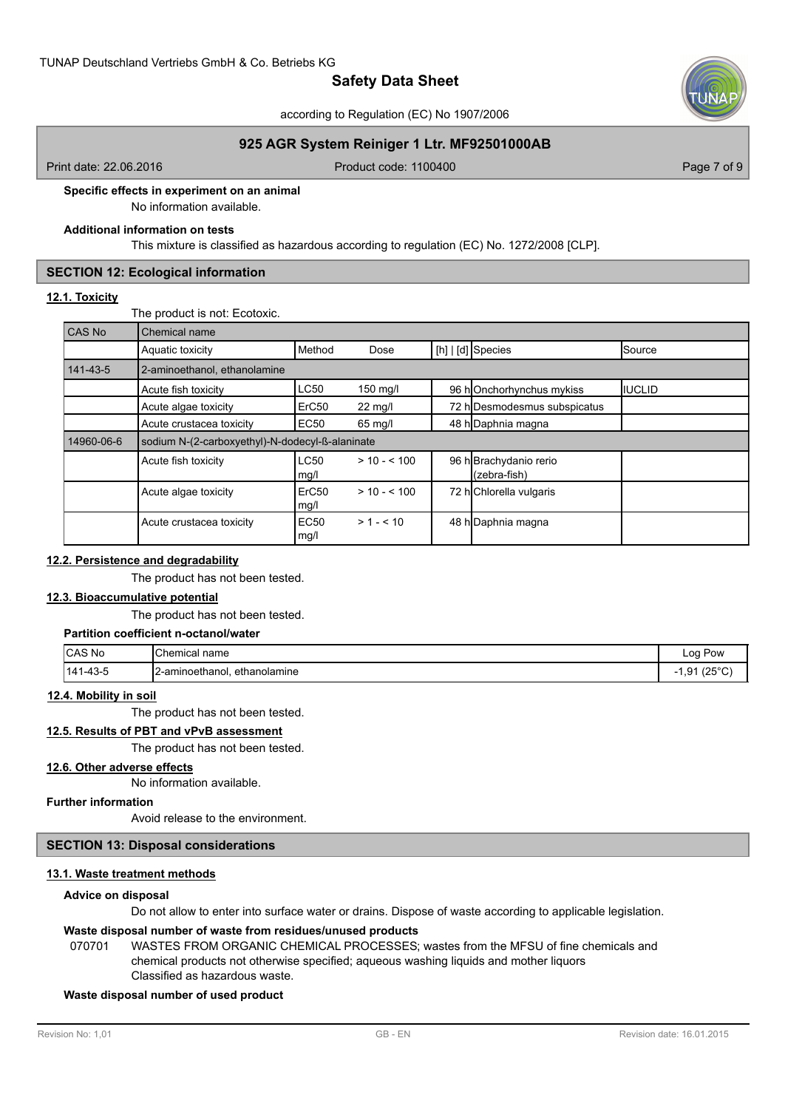according to Regulation (EC) No 1907/2006

# **925 AGR System Reiniger 1 Ltr. MF92501000AB**

Print date: 22.06.2016 **Product code: 1100400** Product code: 1100400

**Specific effects in experiment on an animal**

No information available.

### **Additional information on tests**

This mixture is classified as hazardous according to regulation (EC) No. 1272/2008 [CLP].

# **SECTION 12: Ecological information**

### **12.1. Toxicity**

The product is not: Ecotoxic.

| <b>CAS No</b> | Chemical name                                   |                           |                   |  |                                        |                |  |  |
|---------------|-------------------------------------------------|---------------------------|-------------------|--|----------------------------------------|----------------|--|--|
|               | Aquatic toxicity                                | Method                    | Dose              |  | [h]   [d] Species                      | Source         |  |  |
| 141-43-5      | 2-aminoethanol, ethanolamine                    |                           |                   |  |                                        |                |  |  |
|               | Acute fish toxicity                             | LC50                      | 150 mg/l          |  | 96 hOnchorhynchus mykiss               | <b>IIUCLID</b> |  |  |
|               | Acute algae toxicity                            | ErC <sub>50</sub>         | $22 \text{ mg/l}$ |  | 72 h Desmodesmus subspicatus           |                |  |  |
|               | Acute crustacea toxicity                        | EC50                      | $65$ mg/l         |  | 48 h Daphnia magna                     |                |  |  |
| 14960-06-6    | sodium N-(2-carboxyethyl)-N-dodecyl-ß-alaninate |                           |                   |  |                                        |                |  |  |
|               | Acute fish toxicity                             | LC50<br>mg/l              | $> 10 - 510$      |  | 96 h Brachydanio rerio<br>(zebra-fish) |                |  |  |
|               | Acute algae toxicity                            | ErC <sub>50</sub><br>mg/l | $> 10 - 100$      |  | 72 h Chlorella vulgaris                |                |  |  |
|               | Acute crustacea toxicity                        | <b>EC50</b><br>mg/l       | $> 1 - 510$       |  | 48 h Daphnia magna                     |                |  |  |

### **12.2. Persistence and degradability**

The product has not been tested.

# **12.3. Bioaccumulative potential**

The product has not been tested.

## **Partition coefficient n-octanol/water**

| <b>CAS No</b>  | <b>Chemical</b><br>name               | Log Pow<br>-- -           |
|----------------|---------------------------------------|---------------------------|
| $-43-5$<br>141 | -<br>12-aminoethanol.<br>ethanolamine | 10000<br>ن∠)<br>יס.י<br>ີ |

# **12.4. Mobility in soil**

The product has not been tested.

# **12.5. Results of PBT and vPvB assessment**

The product has not been tested.

## **12.6. Other adverse effects**

No information available.

# **Further information**

Avoid release to the environment.

# **SECTION 13: Disposal considerations**

# **13.1. Waste treatment methods**

### **Advice on disposal**

Do not allow to enter into surface water or drains. Dispose of waste according to applicable legislation.

### **Waste disposal number of waste from residues/unused products**

070701 WASTES FROM ORGANIC CHEMICAL PROCESSES; wastes from the MFSU of fine chemicals and chemical products not otherwise specified; aqueous washing liquids and mother liquors Classified as hazardous waste.

#### **Waste disposal number of used product**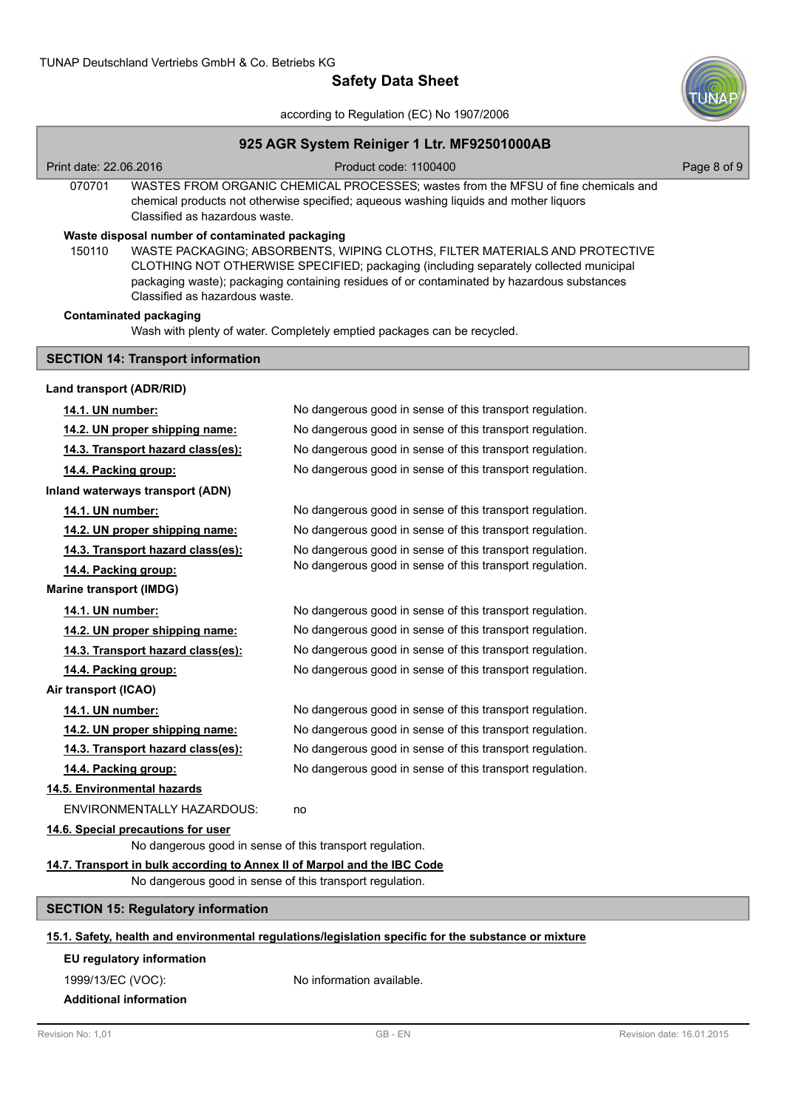

according to Regulation (EC) No 1907/2006

# **925 AGR System Reiniger 1 Ltr. MF92501000AB** Print date: 22.06.2016 **Product code: 1100400** Product code: 1100400 WASTES FROM ORGANIC CHEMICAL PROCESSES; wastes from the MFSU of fine chemicals and chemical products not otherwise specified; aqueous washing liquids and mother liquors Classified as hazardous waste. 070701 **Waste disposal number of contaminated packaging** WASTE PACKAGING; ABSORBENTS, WIPING CLOTHS, FILTER MATERIALS AND PROTECTIVE CLOTHING NOT OTHERWISE SPECIFIED; packaging (including separately collected municipal packaging waste); packaging containing residues of or contaminated by hazardous substances Classified as hazardous waste. 150110 Wash with plenty of water. Completely emptied packages can be recycled. **Contaminated packaging SECTION 14: Transport information Land transport (ADR/RID) 14.1. UN number:** No dangerous good in sense of this transport regulation. **14.2. UN proper shipping name:** No dangerous good in sense of this transport regulation. **14.3. Transport hazard class(es):** No dangerous good in sense of this transport regulation. **14.4. Packing group:** No dangerous good in sense of this transport regulation. **Inland waterways transport (ADN) 14.1. UN number:** No dangerous good in sense of this transport regulation. **14.2. UN proper shipping name:** No dangerous good in sense of this transport regulation. **14.3. Transport hazard class(es):** No dangerous good in sense of this transport regulation. **14.4. Packing group:** No dangerous good in sense of this transport regulation. **Marine transport (IMDG) 14.1. UN number:** No dangerous good in sense of this transport regulation. **14.2. UN proper shipping name:** No dangerous good in sense of this transport regulation. **14.3. Transport hazard class(es):** No dangerous good in sense of this transport regulation. **14.4. Packing group:** No dangerous good in sense of this transport regulation. **Air transport (ICAO) 14.1. UN number:** No dangerous good in sense of this transport regulation. **14.2. UN proper shipping name:** No dangerous good in sense of this transport regulation. **14.3. Transport hazard class(es):** No dangerous good in sense of this transport regulation. **14.4. Packing group:** No dangerous good in sense of this transport regulation. **14.5. Environmental hazards** ENVIRONMENTALLY HAZARDOUS: no **14.6. Special precautions for user** No dangerous good in sense of this transport regulation. **14.7. Transport in bulk according to Annex II of Marpol and the IBC Code** No dangerous good in sense of this transport regulation. **SECTION 15: Regulatory information 15.1. Safety, health and environmental regulations/legislation specific for the substance or mixture EU regulatory information** 1999/13/EC (VOC): No information available.

**Additional information**